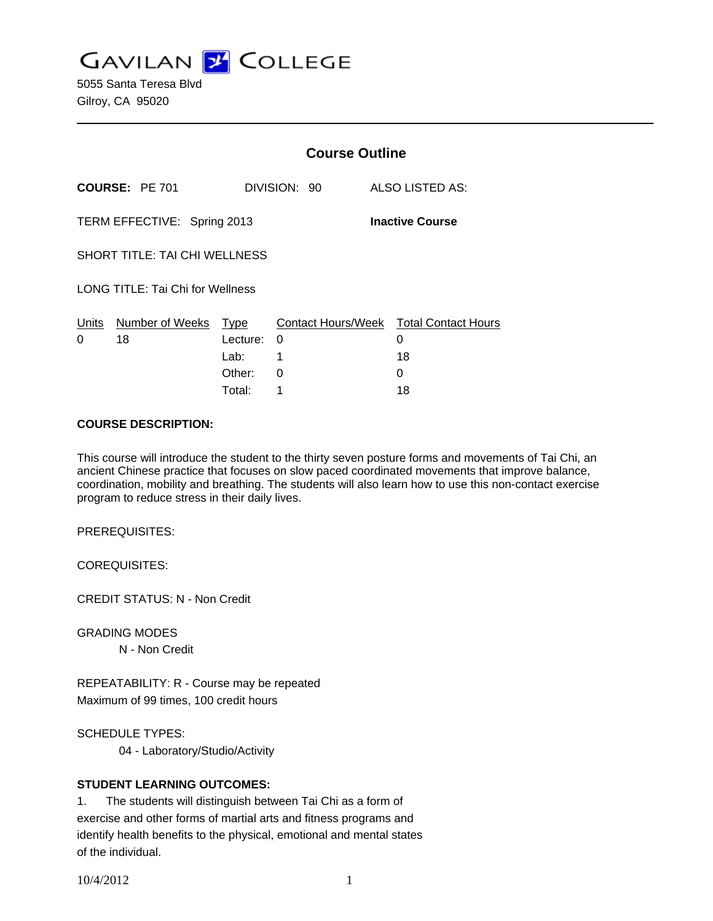**GAVILAN J COLLEGE** 

5055 Santa Teresa Blvd Gilroy, CA 95020

|                                                       |                            | <b>Course Outline</b> |              |                                                   |
|-------------------------------------------------------|----------------------------|-----------------------|--------------|---------------------------------------------------|
| <b>COURSE: PE 701</b>                                 |                            |                       | DIVISION: 90 | ALSO LISTED AS:                                   |
| TERM EFFECTIVE: Spring 2013<br><b>Inactive Course</b> |                            |                       |              |                                                   |
| <b>SHORT TITLE: TAI CHI WELLNESS</b>                  |                            |                       |              |                                                   |
| LONG TITLE: Tai Chi for Wellness                      |                            |                       |              |                                                   |
| Units<br>0                                            | Number of Weeks Type<br>18 | Lecture:<br>Lab:      | 0<br>1       | Contact Hours/Week Total Contact Hours<br>0<br>18 |
|                                                       |                            | Other:                | 0            | 0                                                 |
|                                                       |                            | Total:                | 1            | 18                                                |

### **COURSE DESCRIPTION:**

This course will introduce the student to the thirty seven posture forms and movements of Tai Chi, an ancient Chinese practice that focuses on slow paced coordinated movements that improve balance, coordination, mobility and breathing. The students will also learn how to use this non-contact exercise program to reduce stress in their daily lives.

PREREQUISITES:

COREQUISITES:

CREDIT STATUS: N - Non Credit

GRADING MODES

N - Non Credit

REPEATABILITY: R - Course may be repeated Maximum of 99 times, 100 credit hours

SCHEDULE TYPES:

04 - Laboratory/Studio/Activity

## **STUDENT LEARNING OUTCOMES:**

1. The students will distinguish between Tai Chi as a form of exercise and other forms of martial arts and fitness programs and identify health benefits to the physical, emotional and mental states of the individual.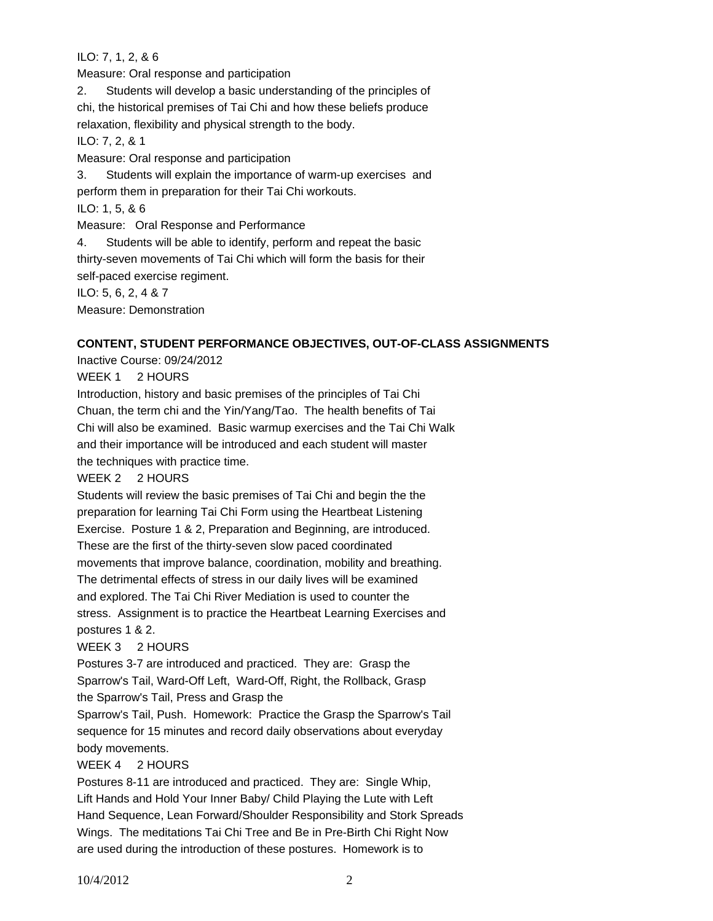# ILO: 7, 1, 2, & 6

Measure: Oral response and participation

2. Students will develop a basic understanding of the principles of chi, the historical premises of Tai Chi and how these beliefs produce relaxation, flexibility and physical strength to the body.

ILO: 7, 2, & 1

Measure: Oral response and participation

3. Students will explain the importance of warm-up exercises and perform them in preparation for their Tai Chi workouts.

ILO: 1, 5, & 6

Measure: Oral Response and Performance

4. Students will be able to identify, perform and repeat the basic thirty-seven movements of Tai Chi which will form the basis for their self-paced exercise regiment.

ILO: 5, 6, 2, 4 & 7

Measure: Demonstration

# **CONTENT, STUDENT PERFORMANCE OBJECTIVES, OUT-OF-CLASS ASSIGNMENTS**

Inactive Course: 09/24/2012

WEEK 1 2 HOURS

Introduction, history and basic premises of the principles of Tai Chi Chuan, the term chi and the Yin/Yang/Tao. The health benefits of Tai Chi will also be examined. Basic warmup exercises and the Tai Chi Walk and their importance will be introduced and each student will master the techniques with practice time.

WEEK 2 2 HOURS

Students will review the basic premises of Tai Chi and begin the the preparation for learning Tai Chi Form using the Heartbeat Listening Exercise. Posture 1 & 2, Preparation and Beginning, are introduced. These are the first of the thirty-seven slow paced coordinated movements that improve balance, coordination, mobility and breathing. The detrimental effects of stress in our daily lives will be examined and explored. The Tai Chi River Mediation is used to counter the stress. Assignment is to practice the Heartbeat Learning Exercises and postures 1 & 2.

WEEK 3 2 HOURS

Postures 3-7 are introduced and practiced. They are: Grasp the Sparrow's Tail, Ward-Off Left, Ward-Off, Right, the Rollback, Grasp the Sparrow's Tail, Press and Grasp the

Sparrow's Tail, Push. Homework: Practice the Grasp the Sparrow's Tail sequence for 15 minutes and record daily observations about everyday body movements.

WEEK 4 2 HOURS

Postures 8-11 are introduced and practiced. They are: Single Whip, Lift Hands and Hold Your Inner Baby/ Child Playing the Lute with Left Hand Sequence, Lean Forward/Shoulder Responsibility and Stork Spreads Wings. The meditations Tai Chi Tree and Be in Pre-Birth Chi Right Now are used during the introduction of these postures. Homework is to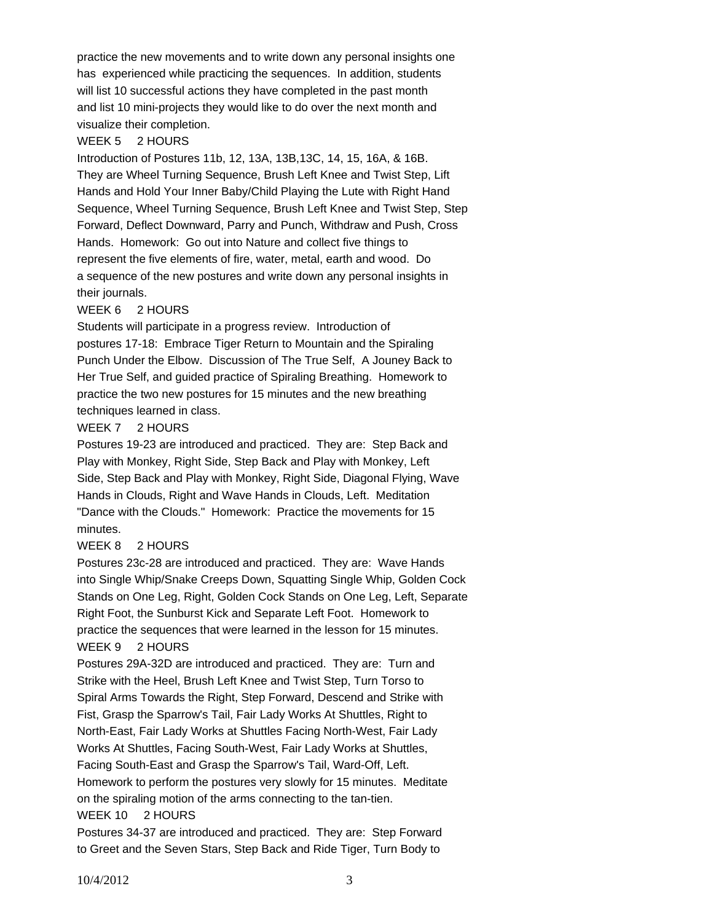practice the new movements and to write down any personal insights one has experienced while practicing the sequences. In addition, students will list 10 successful actions they have completed in the past month and list 10 mini-projects they would like to do over the next month and visualize their completion.

### WEEK 5 2 HOURS

Introduction of Postures 11b, 12, 13A, 13B,13C, 14, 15, 16A, & 16B. They are Wheel Turning Sequence, Brush Left Knee and Twist Step, Lift Hands and Hold Your Inner Baby/Child Playing the Lute with Right Hand Sequence, Wheel Turning Sequence, Brush Left Knee and Twist Step, Step Forward, Deflect Downward, Parry and Punch, Withdraw and Push, Cross Hands. Homework: Go out into Nature and collect five things to represent the five elements of fire, water, metal, earth and wood. Do a sequence of the new postures and write down any personal insights in their journals.

## WEEK 6 2 HOURS

Students will participate in a progress review. Introduction of postures 17-18: Embrace Tiger Return to Mountain and the Spiraling Punch Under the Elbow. Discussion of The True Self, A Jouney Back to Her True Self, and guided practice of Spiraling Breathing. Homework to practice the two new postures for 15 minutes and the new breathing techniques learned in class.

### WEEK 7 2 HOURS

Postures 19-23 are introduced and practiced. They are: Step Back and Play with Monkey, Right Side, Step Back and Play with Monkey, Left Side, Step Back and Play with Monkey, Right Side, Diagonal Flying, Wave Hands in Clouds, Right and Wave Hands in Clouds, Left. Meditation "Dance with the Clouds." Homework: Practice the movements for 15 minutes.

## WEEK 8 2 HOURS

Postures 23c-28 are introduced and practiced. They are: Wave Hands into Single Whip/Snake Creeps Down, Squatting Single Whip, Golden Cock Stands on One Leg, Right, Golden Cock Stands on One Leg, Left, Separate Right Foot, the Sunburst Kick and Separate Left Foot. Homework to practice the sequences that were learned in the lesson for 15 minutes. WEEK 9 2 HOURS

Postures 29A-32D are introduced and practiced. They are: Turn and Strike with the Heel, Brush Left Knee and Twist Step, Turn Torso to Spiral Arms Towards the Right, Step Forward, Descend and Strike with Fist, Grasp the Sparrow's Tail, Fair Lady Works At Shuttles, Right to North-East, Fair Lady Works at Shuttles Facing North-West, Fair Lady Works At Shuttles, Facing South-West, Fair Lady Works at Shuttles, Facing South-East and Grasp the Sparrow's Tail, Ward-Off, Left. Homework to perform the postures very slowly for 15 minutes. Meditate on the spiraling motion of the arms connecting to the tan-tien.

#### WEEK 10 2 HOURS

Postures 34-37 are introduced and practiced. They are: Step Forward to Greet and the Seven Stars, Step Back and Ride Tiger, Turn Body to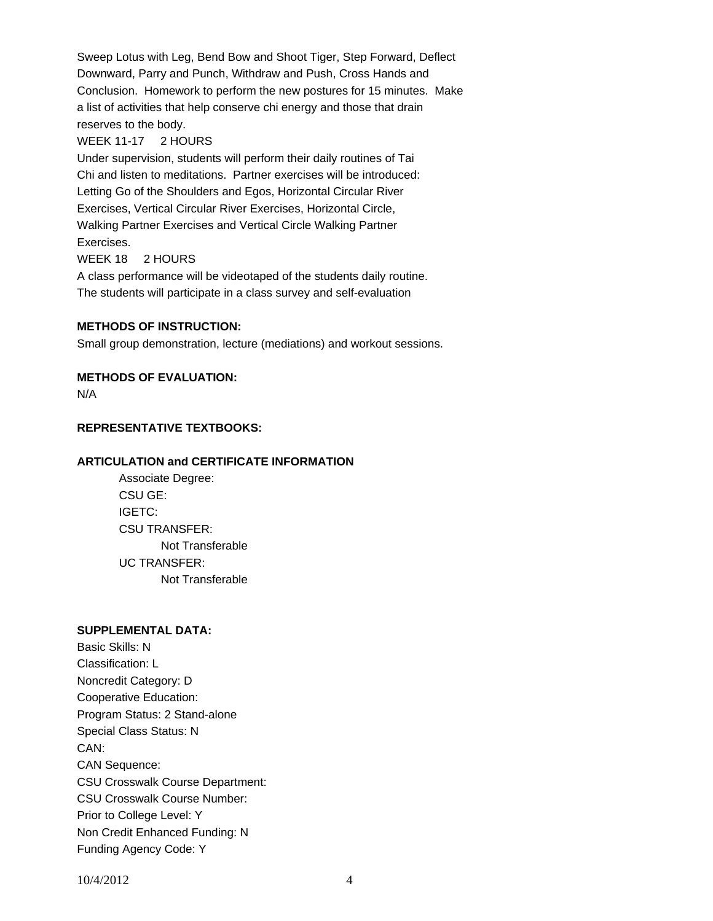Sweep Lotus with Leg, Bend Bow and Shoot Tiger, Step Forward, Deflect Downward, Parry and Punch, Withdraw and Push, Cross Hands and Conclusion. Homework to perform the new postures for 15 minutes. Make a list of activities that help conserve chi energy and those that drain reserves to the body.

### WEEK 11-17 2 HOURS

Under supervision, students will perform their daily routines of Tai Chi and listen to meditations. Partner exercises will be introduced: Letting Go of the Shoulders and Egos, Horizontal Circular River Exercises, Vertical Circular River Exercises, Horizontal Circle, Walking Partner Exercises and Vertical Circle Walking Partner Exercises. WEEK 18 2 HOURS

A class performance will be videotaped of the students daily routine. The students will participate in a class survey and self-evaluation

## **METHODS OF INSTRUCTION:**

Small group demonstration, lecture (mediations) and workout sessions.

## **METHODS OF EVALUATION:**

N/A

## **REPRESENTATIVE TEXTBOOKS:**

### **ARTICULATION and CERTIFICATE INFORMATION**

 Not Transferable UC TRANSFER: Not Transferable Associate Degree: CSU GE: IGETC: CSU TRANSFER:

#### **SUPPLEMENTAL DATA:**

Basic Skills: N Classification: L Noncredit Category: D Cooperative Education: Program Status: 2 Stand-alone Special Class Status: N CAN: CAN Sequence: CSU Crosswalk Course Department: CSU Crosswalk Course Number: Prior to College Level: Y Non Credit Enhanced Funding: N Funding Agency Code: Y